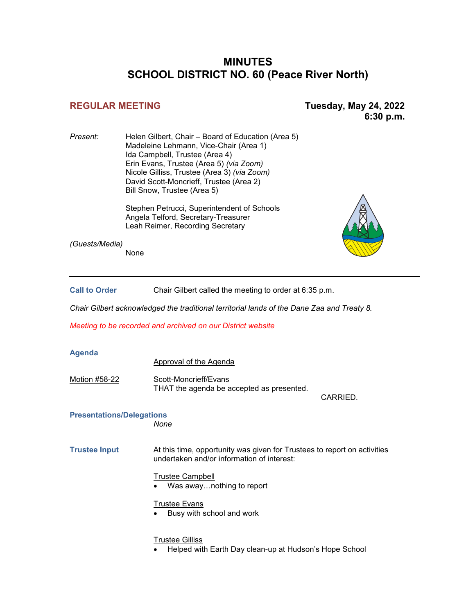# **MINUTES SCHOOL DISTRICT NO. 60 (Peace River North)**

**REGULAR MEETING Tuesday, May 24, 2022 6:30 p.m.** 

*Present:* Helen Gilbert, Chair – Board of Education (Area 5) Madeleine Lehmann, Vice-Chair (Area 1) Ida Campbell, Trustee (Area 4) Erin Evans, Trustee (Area 5) *(via Zoom)* Nicole Gilliss, Trustee (Area 3) *(via Zoom)* David Scott-Moncrieff, Trustee (Area 2) Bill Snow, Trustee (Area 5)

> Stephen Petrucci, Superintendent of Schools Angela Telford, Secretary-Treasurer Leah Reimer, Recording Secretary

*(Guests/Media)*

None

Call to Order Chair Gilbert called the meeting to order at 6:35 p.m.

*Chair Gilbert acknowledged the traditional territorial lands of the Dane Zaa and Treaty 8.*

*Meeting to be recorded and archived on our District website*

| <b>Agenda</b>                    |                                                                                                                        |          |  |
|----------------------------------|------------------------------------------------------------------------------------------------------------------------|----------|--|
|                                  | <b>Approval of the Agenda</b>                                                                                          |          |  |
| Motion #58-22                    | Scott-Moncrieff/Evans<br>THAT the agenda be accepted as presented.                                                     | CARRIED. |  |
| <b>Presentations/Delegations</b> |                                                                                                                        |          |  |
|                                  | None                                                                                                                   |          |  |
| <b>Trustee Input</b>             | At this time, opportunity was given for Trustees to report on activities<br>undertaken and/or information of interest: |          |  |
|                                  | <b>Trustee Campbell</b>                                                                                                |          |  |
|                                  | Was awaynothing to report<br>٠                                                                                         |          |  |
|                                  | <b>Trustee Evans</b>                                                                                                   |          |  |
|                                  | Busy with school and work<br>٠                                                                                         |          |  |
|                                  | <b>Trustee Gilliss</b><br>Helped with Earth Day clean-up at Hudson's Hope School                                       |          |  |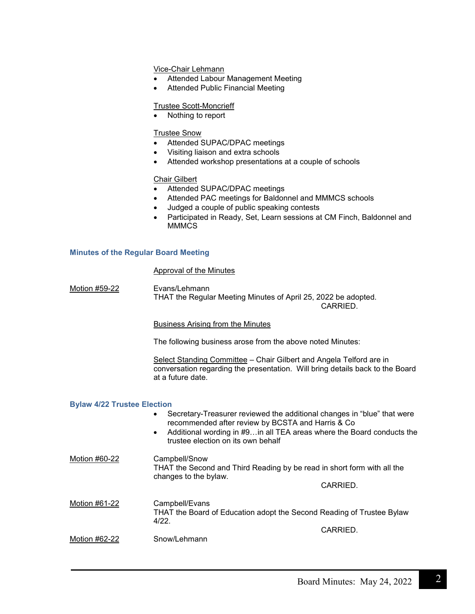Vice-Chair Lehmann

- Attended Labour Management Meeting
- Attended Public Financial Meeting

# Trustee Scott-Moncrieff

• Nothing to report

## Trustee Snow

- Attended SUPAC/DPAC meetings
- Visiting liaison and extra schools
- Attended workshop presentations at a couple of schools

## Chair Gilbert

- Attended SUPAC/DPAC meetings
- Attended PAC meetings for Baldonnel and MMMCS schools
- Judged a couple of public speaking contests
- Participated in Ready, Set, Learn sessions at CM Finch, Baldonnel and **MMMCS**

## **Minutes of the Regular Board Meeting**

# Approval of the Minutes

Motion #59-22 Evans/Lehmann THAT the Regular Meeting Minutes of April 25, 2022 be adopted.

CARRIED.

Business Arising from the Minutes

The following business arose from the above noted Minutes:

Select Standing Committee - Chair Gilbert and Angela Telford are in conversation regarding the presentation. Will bring details back to the Board at a future date.

#### **Bylaw 4/22 Trustee Election**

- Secretary-Treasurer reviewed the additional changes in "blue" that were recommended after review by BCSTA and Harris & Co
- Additional wording in #9…in all TEA areas where the Board conducts the trustee election on its own behalf
- Motion #60-22 Campbell/Snow THAT the Second and Third Reading by be read in short form with all the changes to the bylaw. CARRIED. Motion #61-22 Campbell/Evans THAT the Board of Education adopt the Second Reading of Trustee Bylaw 4/22. CARRIED.
- Motion #62-22 Snow/Lehmann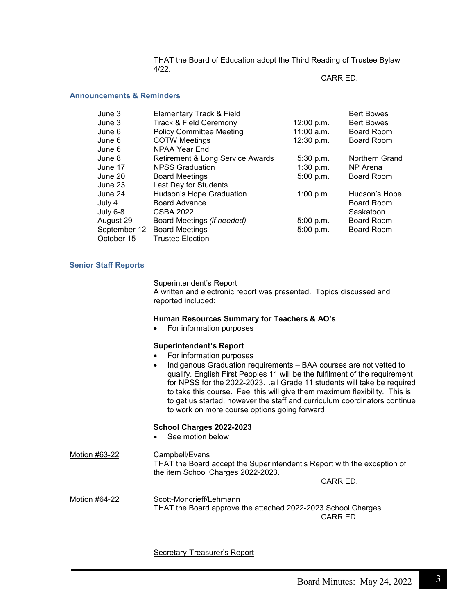THAT the Board of Education adopt the Third Reading of Trustee Bylaw 4/22.

#### CARRIED.

# **Announcements & Reminders**

| June 3       | Elementary Track & Field         |              | <b>Bert Bowes</b> |
|--------------|----------------------------------|--------------|-------------------|
| June 3       | Track & Field Ceremony           | 12:00 p.m.   | <b>Bert Bowes</b> |
| June 6       | <b>Policy Committee Meeting</b>  | $11:00$ a.m. | Board Room        |
| June 6       | <b>COTW Meetings</b>             | 12:30 p.m.   | <b>Board Room</b> |
| June 6       | <b>NPAA Year End</b>             |              |                   |
| June 8       | Retirement & Long Service Awards | 5:30 p.m.    | Northern Grand    |
| June 17      | <b>NPSS Graduation</b>           | 1:30 p.m.    | NP Arena          |
| June 20      | <b>Board Meetings</b>            | 5:00 p.m.    | <b>Board Room</b> |
| June 23      | Last Day for Students            |              |                   |
| June 24      | Hudson's Hope Graduation         | 1:00 p.m.    | Hudson's Hope     |
| July 4       | <b>Board Advance</b>             |              | <b>Board Room</b> |
| July 6-8     | CSBA 2022                        |              | Saskatoon         |
| August 29    | Board Meetings (if needed)       | 5:00 p.m.    | Board Room        |
| September 12 | <b>Board Meetings</b>            | 5:00 p.m.    | Board Room        |
| October 15   | <b>Trustee Election</b>          |              |                   |

## **Senior Staff Reports**

Superintendent's Report

A written and electronic report was presented. Topics discussed and reported included:

#### **Human Resources Summary for Teachers & AO's**

• For information purposes

#### **Superintendent's Report**

- For information purposes
- Indigenous Graduation requirements BAA courses are not vetted to qualify. English First Peoples 11 will be the fulfilment of the requirement for NPSS for the 2022-2023…all Grade 11 students will take be required to take this course. Feel this will give them maximum flexibility. This is to get us started, however the staff and curriculum coordinators continue to work on more course options going forward

## **School Charges 2022-2023**

See motion below

Motion #63-22 Campbell/Evans THAT the Board accept the Superintendent's Report with the exception of the item School Charges 2022-2023. CARRIED.

Motion #64-22 Scott-Moncrieff/Lehmann THAT the Board approve the attached 2022-2023 School Charges CARRIED.

Secretary-Treasurer's Report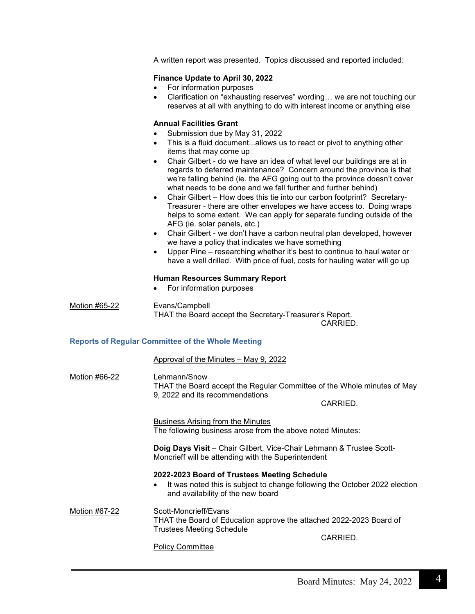A written report was presented. Topics discussed and reported included:

# **Finance Update to April 30, 2022**

- For information purposes
- Clarification on "exhausting reserves" wording… we are not touching our reserves at all with anything to do with interest income or anything else

# **Annual Facilities Grant**

- Submission due by May 31, 2022
- This is a fluid document...allows us to react or pivot to anything other items that may come up
- Chair Gilbert do we have an idea of what level our buildings are at in regards to deferred maintenance? Concern around the province is that we're falling behind (ie. the AFG going out to the province doesn't cover what needs to be done and we fall further and further behind)
- Chair Gilbert How does this tie into our carbon footprint? Secretary-Treasurer - there are other envelopes we have access to. Doing wraps helps to some extent. We can apply for separate funding outside of the AFG (ie. solar panels, etc.)
- Chair Gilbert we don't have a carbon neutral plan developed, however we have a policy that indicates we have something
- Upper Pine researching whether it's best to continue to haul water or have a well drilled. With price of fuel, costs for hauling water will go up

# **Human Resources Summary Report**

• For information purposes

Motion #65-22 Evans/Campbell THAT the Board accept the Secretary-Treasurer's Report. CARRIED.

# **Reports of Regular Committee of the Whole Meeting**

Approval of the Minutes – May 9, 2022

Motion #66-22 Lehmann/Snow THAT the Board accept the Regular Committee of the Whole minutes of May 9, 2022 and its recommendations CARRIED.

> Business Arising from the Minutes The following business arose from the above noted Minutes:

**Doig Days Visit** – Chair Gilbert, Vice-Chair Lehmann & Trustee Scott-Moncrieff will be attending with the Superintendent

# **2022-2023 Board of Trustees Meeting Schedule**

It was noted this is subject to change following the October 2022 election and availability of the new board

Motion #67-22 Scott-Moncrieff/Evans THAT the Board of Education approve the attached 2022-2023 Board of Trustees Meeting Schedule CARRIED.

Policy Committee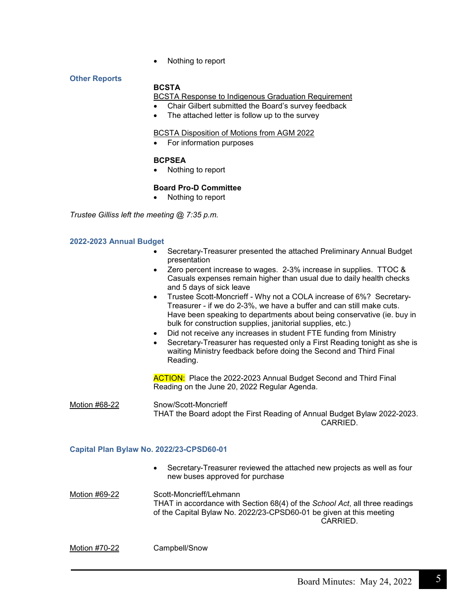• Nothing to report

# **Other Reports**

# **BCSTA**

# **BCSTA Response to Indigenous Graduation Requirement**

- Chair Gilbert submitted the Board's survey feedback
- The attached letter is follow up to the survey

#### BCSTA Disposition of Motions from AGM 2022

• For information purposes

# **BCPSEA**

• Nothing to report

# **Board Pro-D Committee**

• Nothing to report

*Trustee Gilliss left the meeting @ 7:35 p.m.*

## **2022-2023 Annual Budget**

- Secretary-Treasurer presented the attached Preliminary Annual Budget presentation
- Zero percent increase to wages. 2-3% increase in supplies. TTOC & Casuals expenses remain higher than usual due to daily health checks and 5 days of sick leave
- Trustee Scott-Moncrieff Why not a COLA increase of 6%? Secretary-Treasurer - if we do 2-3%, we have a buffer and can still make cuts. Have been speaking to departments about being conservative (ie. buy in bulk for construction supplies, janitorial supplies, etc.)
- Did not receive any increases in student FTE funding from Ministry
- Secretary-Treasurer has requested only a First Reading tonight as she is waiting Ministry feedback before doing the Second and Third Final Reading.

**ACTION:** Place the 2022-2023 Annual Budget Second and Third Final Reading on the June 20, 2022 Regular Agenda.

Motion #68-22 Snow/Scott-Moncrieff THAT the Board adopt the First Reading of Annual Budget Bylaw 2022-2023. CARRIED.

#### **Capital Plan Bylaw No. 2022/23-CPSD60-01**

• Secretary-Treasurer reviewed the attached new projects as well as four new buses approved for purchase

Motion #69-22 Scott-Moncrieff/Lehmann THAT in accordance with Section 68(4) of the *School Act*, all three readings of the Capital Bylaw No. 2022/23-CPSD60-01 be given at this meeting CARRIED.

Motion #70-22 Campbell/Snow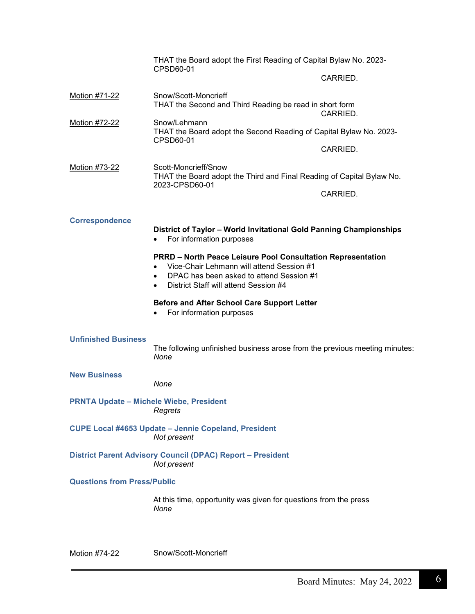|                                                | THAT the Board adopt the First Reading of Capital Bylaw No. 2023-<br>CPSD60-01                                                                                                                       |          |
|------------------------------------------------|------------------------------------------------------------------------------------------------------------------------------------------------------------------------------------------------------|----------|
|                                                |                                                                                                                                                                                                      | CARRIED. |
| Motion #71-22                                  | Snow/Scott-Moncrieff<br>THAT the Second and Third Reading be read in short form                                                                                                                      | CARRIED. |
| Motion #72-22                                  | Snow/Lehmann<br>THAT the Board adopt the Second Reading of Capital Bylaw No. 2023-                                                                                                                   |          |
|                                                | CPSD60-01                                                                                                                                                                                            | CARRIED. |
| Motion #73-22                                  | Scott-Moncrieff/Snow<br>THAT the Board adopt the Third and Final Reading of Capital Bylaw No.                                                                                                        |          |
|                                                | 2023-CPSD60-01                                                                                                                                                                                       | CARRIED. |
| <b>Correspondence</b>                          | District of Taylor - World Invitational Gold Panning Championships<br>For information purposes                                                                                                       |          |
|                                                | <b>PRRD - North Peace Leisure Pool Consultation Representation</b><br>Vice-Chair Lehmann will attend Session #1<br>DPAC has been asked to attend Session #1<br>District Staff will attend Session #4 |          |
|                                                | <b>Before and After School Care Support Letter</b><br>For information purposes                                                                                                                       |          |
| <b>Unfinished Business</b>                     | The following unfinished business arose from the previous meeting minutes:<br>None                                                                                                                   |          |
| <b>New Business</b>                            | None                                                                                                                                                                                                 |          |
| <b>PRNTA Update - Michele Wiebe, President</b> | Regrets                                                                                                                                                                                              |          |
|                                                | <b>CUPE Local #4653 Update - Jennie Copeland, President</b><br>Not present                                                                                                                           |          |
|                                                | District Parent Advisory Council (DPAC) Report - President<br>Not present                                                                                                                            |          |
| <b>Questions from Press/Public</b>             |                                                                                                                                                                                                      |          |
|                                                | At this time, opportunity was given for questions from the press<br>None                                                                                                                             |          |
|                                                |                                                                                                                                                                                                      |          |

Motion #74-22 Snow/Scott-Moncrieff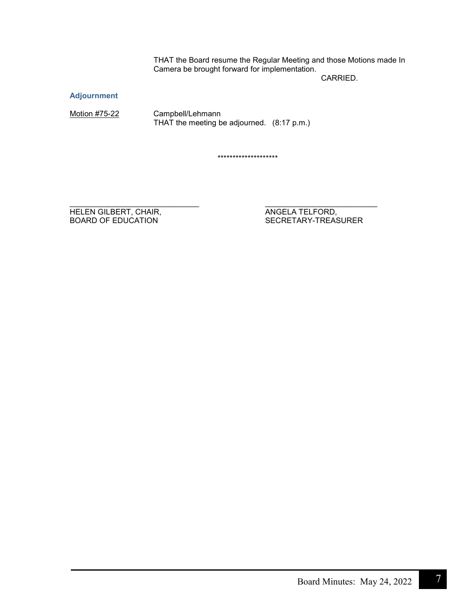THAT the Board resume the Regular Meeting and those Motions made In Camera be brought forward for implementation.

CARRIED.

**Adjournment**

Motion #75-22 Campbell/Lehmann THAT the meeting be adjourned. (8:17 p.m.)

\*\*\*\*\*\*\*\*\*\*\*\*\*\*\*\*\*\*\*\*

\_\_\_\_\_\_\_\_\_\_\_\_\_\_\_\_\_\_\_\_\_\_\_\_\_\_\_\_\_\_ \_\_\_\_\_\_\_\_\_\_\_\_\_\_\_\_\_\_\_\_\_\_\_\_\_\_ HELEN GILBERT, CHAIR, ANGELA TELFORD, ANGELA TELFORD, BOARD OF EDUCATION

SECRETARY-TREASURER